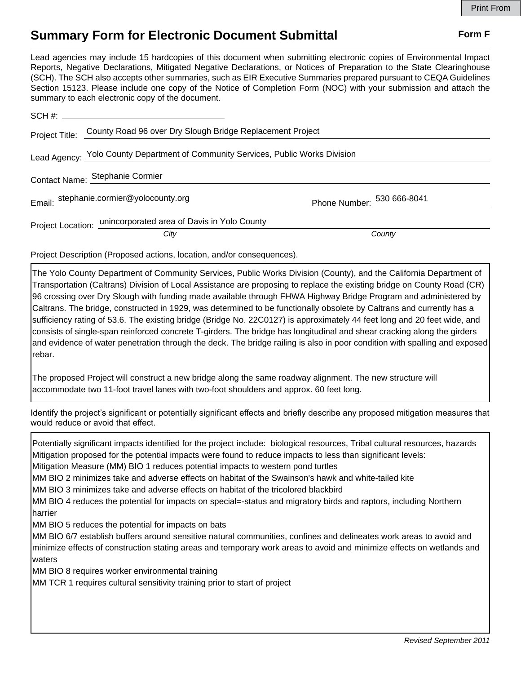## **Summary Form for Electronic Document Submittal Form F Form F**

Lead agencies may include 15 hardcopies of this document when submitting electronic copies of Environmental Impact Reports, Negative Declarations, Mitigated Negative Declarations, or Notices of Preparation to the State Clearinghouse (SCH). The SCH also accepts other summaries, such as EIR Executive Summaries prepared pursuant to CEQA Guidelines Section 15123. Please include one copy of the Notice of Completion Form (NOC) with your submission and attach the summary to each electronic copy of the document.

| Project Title:                                                                   | County Road 96 over Dry Slough Bridge Replacement Project             |                            |
|----------------------------------------------------------------------------------|-----------------------------------------------------------------------|----------------------------|
| Lead Agency: Yolo County Department of Community Services, Public Works Division |                                                                       |                            |
|                                                                                  | Contact Name: Stephanie Cormier                                       |                            |
|                                                                                  | Email: stephanie.cormier@yolocounty.org                               | Phone Number: 530 666-8041 |
|                                                                                  | Project Location: unincorporated area of Davis in Yolo County<br>City | County                     |

Project Description (Proposed actions, location, and/or consequences).

The Yolo County Department of Community Services, Public Works Division (County), and the California Department of Transportation (Caltrans) Division of Local Assistance are proposing to replace the existing bridge on County Road (CR) 96 crossing over Dry Slough with funding made available through FHWA Highway Bridge Program and administered by Caltrans. The bridge, constructed in 1929, was determined to be functionally obsolete by Caltrans and currently has a sufficiency rating of 53.6. The existing bridge (Bridge No. 22C0127) is approximately 44 feet long and 20 feet wide, and consists of single-span reinforced concrete T-girders. The bridge has longitudinal and shear cracking along the girders and evidence of water penetration through the deck. The bridge railing is also in poor condition with spalling and exposed rebar.

The proposed Project will construct a new bridge along the same roadway alignment. The new structure will accommodate two 11-foot travel lanes with two-foot shoulders and approx. 60 feet long.

Identify the project's significant or potentially significant effects and briefly describe any proposed mitigation measures that would reduce or avoid that effect.

Potentially significant impacts identified for the project include: biological resources, Tribal cultural resources, hazards Mitigation proposed for the potential impacts were found to reduce impacts to less than significant levels: Mitigation Measure (MM) BIO 1 reduces potential impacts to western pond turtles MM BIO 2 minimizes take and adverse effects on habitat of the Swainson's hawk and white-tailed kite MM BIO 3 minimizes take and adverse effects on habitat of the tricolored blackbird MM BIO 4 reduces the potential for impacts on special=-status and migratory birds and raptors, including Northern harrier MM BIO 5 reduces the potential for impacts on bats MM BIO 6/7 establish buffers around sensitive natural communities, confines and delineates work areas to avoid and minimize effects of construction stating areas and temporary work areas to avoid and minimize effects on wetlands and waters MM BIO 8 requires worker environmental training MM TCR 1 requires cultural sensitivity training prior to start of project